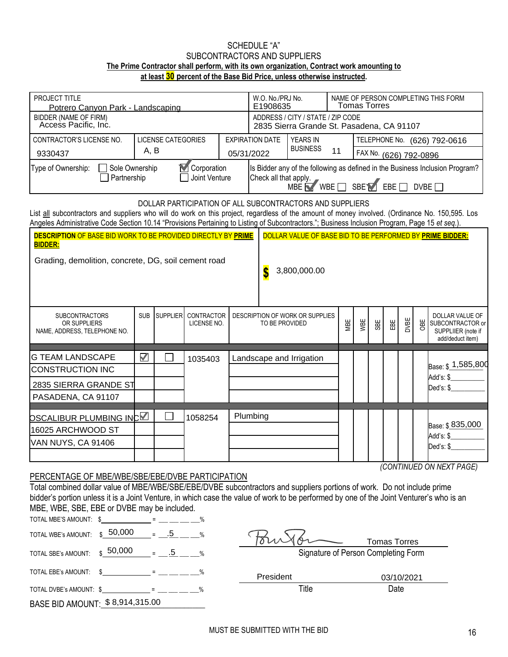## SCHEDULE "A" SUBCONTRACTORS AND SUPPLIERS **The Prime Contractor shall perform, with its own organization, Contract work amounting to at least 30 percent of the Base Bid Price, unless otherwise instructed.**

| PROJECT TITLE<br>Potrero Canvon Park - Landscaping                                                                                                                                                                                                                                                                                                            |                      |        |                                    |  |                                                                                                                                                   | W.O. No./PRJ No.<br>E1908635                                                   | NAME OF PERSON COMPLETING THIS FORM<br>Tomas Torres |     |                        |            |      |     |                                                                                      |
|---------------------------------------------------------------------------------------------------------------------------------------------------------------------------------------------------------------------------------------------------------------------------------------------------------------------------------------------------------------|----------------------|--------|------------------------------------|--|---------------------------------------------------------------------------------------------------------------------------------------------------|--------------------------------------------------------------------------------|-----------------------------------------------------|-----|------------------------|------------|------|-----|--------------------------------------------------------------------------------------|
| BIDDER (NAME OF FIRM)<br>Access Pacific, Inc.                                                                                                                                                                                                                                                                                                                 |                      |        |                                    |  |                                                                                                                                                   | ADDRESS / CITY / STATE / ZIP CODE<br>2835 Sierra Grande St. Pasadena, CA 91107 |                                                     |     |                        |            |      |     |                                                                                      |
| <b>LICENSE CATEGORIES</b><br>CONTRACTOR'S LICENSE NO.                                                                                                                                                                                                                                                                                                         |                      |        |                                    |  | <b>EXPIRATION DATE</b>                                                                                                                            | <b>YEARS IN</b>                                                                |                                                     |     |                        |            |      |     | TELEPHONE No. (626) 792-0616                                                         |
| A, B<br>9330437                                                                                                                                                                                                                                                                                                                                               |                      |        |                                    |  | 05/31/2022                                                                                                                                        | <b>BUSINESS</b>                                                                | 11                                                  |     | FAX No. (626) 792-0896 |            |      |     |                                                                                      |
| Corporation<br>Type of Ownership:<br>Sole Ownership<br>Partnership<br>Joint Venture                                                                                                                                                                                                                                                                           |                      |        |                                    |  | Is Bidder any of the following as defined in the Business Inclusion Program?<br>Check all that apply.<br>$MBE$ WBE $\Box$ SBEY EBE $\Box$<br>DVBE |                                                                                |                                                     |     |                        |            |      |     |                                                                                      |
| DOLLAR PARTICIPATION OF ALL SUBCONTRACTORS AND SUPPLIERS<br>List all subcontractors and suppliers who will do work on this project, regardless of the amount of money involved. (Ordinance No. 150,595. Los<br>Angeles Administrative Code Section 10.14 "Provisions Pertaining to Listing of Subcontractors."; Business Inclusion Program, Page 15 et seq.). |                      |        |                                    |  |                                                                                                                                                   |                                                                                |                                                     |     |                        |            |      |     |                                                                                      |
| <b>DESCRIPTION OF BASE BID WORK TO BE PROVIDED DIRECTLY BY PRIME</b>                                                                                                                                                                                                                                                                                          |                      |        |                                    |  |                                                                                                                                                   | DOLLAR VALUE OF BASE BID TO BE PERFORMED BY PRIME BIDDER:                      |                                                     |     |                        |            |      |     |                                                                                      |
| <b>BIDDER:</b><br>Grading, demolition, concrete, DG, soil cement road<br>3,800,000.00<br>S                                                                                                                                                                                                                                                                    |                      |        |                                    |  |                                                                                                                                                   |                                                                                |                                                     |     |                        |            |      |     |                                                                                      |
| <b>SUBCONTRACTORS</b><br>OR SUPPLIERS<br>NAME, ADDRESS, TELEPHONE NO.                                                                                                                                                                                                                                                                                         | <b>SUB</b>           |        | SUPPLIER CONTRACTOR<br>LICENSE NO. |  | TO BE PROVIDED                                                                                                                                    | DESCRIPTION OF WORK OR SUPPLIES                                                | MBE                                                 | WBE | SBE                    | EBE        | DVBE | OBE | <b>DOLLAR VALUE OF</b><br>SUBCONTRACTOR or<br>SUPPLIIER (note if<br>add/deduct item) |
| <b>G TEAM LANDSCAPE</b>                                                                                                                                                                                                                                                                                                                                       | $\blacktriangledown$ |        | 1035403                            |  | Landscape and Irrigation                                                                                                                          |                                                                                |                                                     |     |                        |            |      |     |                                                                                      |
| <b>CONSTRUCTION INC</b>                                                                                                                                                                                                                                                                                                                                       |                      |        |                                    |  |                                                                                                                                                   |                                                                                |                                                     |     |                        |            |      |     | Base: \$ 1,585,800                                                                   |
| 2835 SIERRA GRANDE ST                                                                                                                                                                                                                                                                                                                                         |                      |        |                                    |  |                                                                                                                                                   |                                                                                |                                                     |     |                        |            |      |     | Add's: \$<br>Ded's: \$                                                               |
| PASADENA, CA 91107                                                                                                                                                                                                                                                                                                                                            |                      |        |                                    |  |                                                                                                                                                   |                                                                                |                                                     |     |                        |            |      |     |                                                                                      |
| <u>DSCALIBUR PL</u> UMBING INC <b>⊠</b>                                                                                                                                                                                                                                                                                                                       |                      |        | 1058254                            |  | Plumbing                                                                                                                                          |                                                                                |                                                     |     |                        |            |      |     |                                                                                      |
| 16025 ARCHWOOD ST                                                                                                                                                                                                                                                                                                                                             |                      |        |                                    |  |                                                                                                                                                   |                                                                                |                                                     |     |                        |            |      |     | Base: \$835,000                                                                      |
| VAN NUYS, CA 91406                                                                                                                                                                                                                                                                                                                                            |                      |        |                                    |  |                                                                                                                                                   |                                                                                |                                                     |     |                        |            |      |     | Add's: \$<br>Ded's: \$                                                               |
|                                                                                                                                                                                                                                                                                                                                                               |                      |        |                                    |  |                                                                                                                                                   |                                                                                |                                                     |     |                        |            |      |     |                                                                                      |
| (CONTINUED ON NEXT PAGE)<br>PERCENTAGE OF MBE/WBE/SBE/EBE/DVBE PARTICIPATION<br>Total combined dollar value of MBE/WBE/SBE/EBE/DVBE subcontractors and suppliers portions of work. Do not include prime                                                                                                                                                       |                      |        |                                    |  |                                                                                                                                                   |                                                                                |                                                     |     |                        |            |      |     |                                                                                      |
| bidder's portion unless it is a Joint Venture, in which case the value of work to be performed by one of the Joint Venturer's who is an<br>MBE, WBE, SBE, EBE or DVBE may be included.<br>TOTAL MBE'S AMOUNT: \$<br>1999년 - 대한민국의 대한민국의 대한민국의 대한민국의 대한민국의 대한민국의 대한민국의 대한민국의 대한민국의 대한민국의 대한민국의 대한민국의 대한민국의 대한민국의 대한민국의 대한민국의 대한민국의                             |                      |        |                                    |  |                                                                                                                                                   |                                                                                |                                                     |     |                        |            |      |     |                                                                                      |
| 50,000<br>TOTAL WBE's AMOUNT:                                                                                                                                                                                                                                                                                                                                 |                      | $= .5$ |                                    |  |                                                                                                                                                   |                                                                                |                                                     |     |                        |            |      |     |                                                                                      |
| $$50,000 = 5$ $$2$<br>TOTAL SBE's AMOUNT:                                                                                                                                                                                                                                                                                                                     |                      |        |                                    |  | <b>Tomas Torres</b><br>Signature of Person Completing Form                                                                                        |                                                                                |                                                     |     |                        |            |      |     |                                                                                      |
| TOTAL EBE's AMOUNT:                                                                                                                                                                                                                                                                                                                                           |                      |        |                                    |  | President                                                                                                                                         |                                                                                |                                                     |     |                        | 03/10/2021 |      |     |                                                                                      |

## PERCENTAGE OF MBE/WBE/SBE/EBE/DVBE PARTICIPATION

| TOTAL MBE'S AMOUNT: $\frac{2}{3}$ = ________ = ___ ___ __ % |  |  |
|-------------------------------------------------------------|--|--|
| TOTAL WBE's AMOUNT: $$50,000 = .5$ %                        |  |  |
| TOTAL SBE's AMOUNT: $$^{50,000}$ = -.5 - %                  |  |  |
| TOTAL EBE's AMOUNT: $\frac{2}{3}$ = ________ = ___ ___ %    |  |  |
| TOTAL DVBE's AMOUNT: $\frac{1}{2}$ = ______ = ___ ___ %     |  |  |
| BASE BID AMOUNT: \$8,914,315.00                             |  |  |

| TOTAL WBE's AMOUNT: $\$$ 50,000                   | $\%$<br>$\equiv$ |           | <b>Tomas Torres</b>                 |  |
|---------------------------------------------------|------------------|-----------|-------------------------------------|--|
| TOTAL SBE's AMOUNT: $\,$ \$ $\,$ $\,$ 50,000 $\,$ | $\frac{0}{6}$    |           | Signature of Person Completing Form |  |
| TOTAL EBE's AMOUNT:                               | $O_{\alpha}$     | President | 03/10/2021                          |  |
| TOTAL DVBE's AMOUNT: \$                           | %                | Title     | Date                                |  |